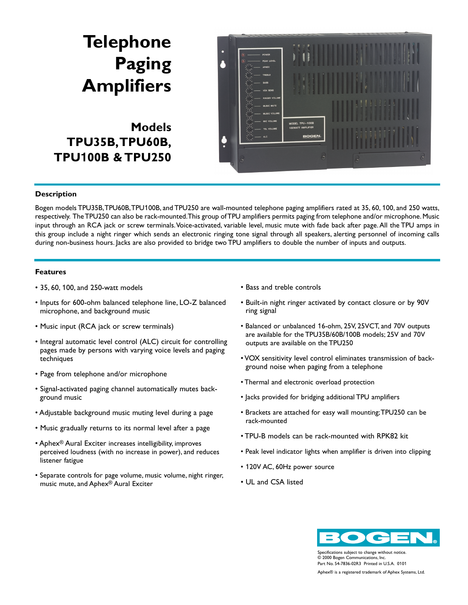## **Telephone Paging Amplifiers**

**Models TPU35B,TPU60B, TPU100B & TPU250**



## **Description**

Bogen models TPU35B,TPU60B,TPU100B, and TPU250 are wall-mounted telephone paging amplifiers rated at 35, 60, 100, and 250 watts, respectively. The TPU250 can also be rack-mounted.This group of TPU amplifiers permits paging from telephone and/or microphone. Music input through an RCA jack or screw terminals.Voice-activated, variable level, music mute with fade back after page.All the TPU amps in this group include a night ringer which sends an electronic ringing tone signal through all speakers, alerting personnel of incoming calls during non-business hours. Jacks are also provided to bridge two TPU amplifiers to double the number of inputs and outputs.

## **Features**

- 35, 60, 100, and 250-watt models
- Inputs for 600-ohm balanced telephone line, LO-Z balanced microphone, and background music
- Music input (RCA jack or screw terminals)
- Integral automatic level control (ALC) circuit for controlling pages made by persons with varying voice levels and paging techniques
- Page from telephone and/or microphone
- Signal-activated paging channel automatically mutes background music
- Adjustable background music muting level during a page
- Music gradually returns to its normal level after a page
- Aphex® Aural Exciter increases intelligibility, improves perceived loudness (with no increase in power), and reduces listener fatigue
- Separate controls for page volume, music volume, night ringer, music mute, and Aphex® Aural Exciter
- Bass and treble controls
- Built-in night ringer activated by contact closure or by 90V ring signal
- Balanced or unbalanced 16-ohm, 25V, 25VCT, and 70V outputs are available for the TPU35B/60B/100B models; 25V and 70V outputs are available on the TPU250
- VOX sensitivity level control eliminates transmission of background noise when paging from a telephone
- Thermal and electronic overload protection
- Jacks provided for bridging additional TPU amplifiers
- Brackets are attached for easy wall mounting;TPU250 can be rack-mounted
- TPU-B models can be rack-mounted with RPK82 kit
- Peak level indicator lights when amplifier is driven into clipping
- 120V AC, 60Hz power source
- UL and CSA listed



Specifications subject to change without notice. © 2000 Bogen Communications, Inc. Part No. 54-7836-02R3 Printed in U.S.A. 0101